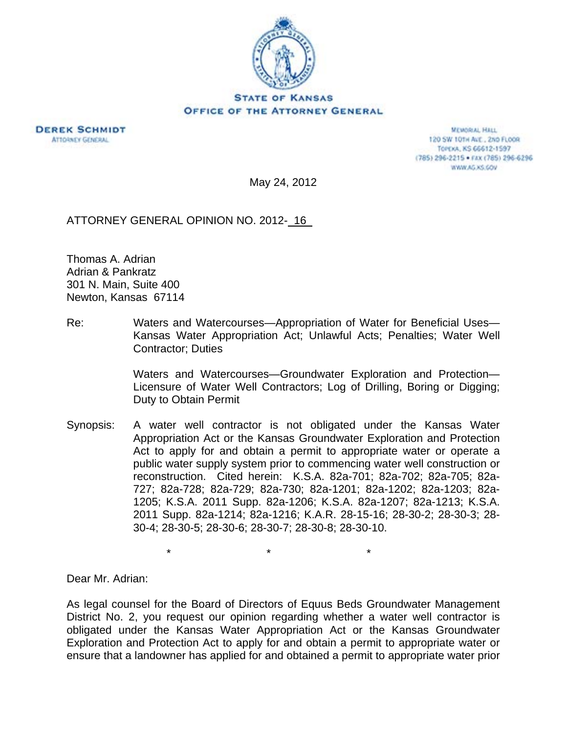

## OFFICE OF THE ATTORNEY GENERAL

**DEREK SCHMIDT ATTORNEY GENERAL** 

**MEMORIAL HALL** 120 SW 101H ALE., 2ND FLOOR TOPEXA, KS 66612-1597 (785) 296-2215 · FAX (785) 296-6296 WWW.AG.XS.GOV

May 24, 2012

ATTORNEY GENERAL OPINION NO. 2012- 16

Thomas A. Adrian Adrian & Pankratz 301 N. Main, Suite 400 Newton, Kansas 67114

Re: Waters and Watercourses—Appropriation of Water for Beneficial Uses— Kansas Water Appropriation Act; Unlawful Acts; Penalties; Water Well Contractor; Duties

> Waters and Watercourses—Groundwater Exploration and Protection— Licensure of Water Well Contractors; Log of Drilling, Boring or Digging; Duty to Obtain Permit

Synopsis: A water well contractor is not obligated under the Kansas Water Appropriation Act or the Kansas Groundwater Exploration and Protection Act to apply for and obtain a permit to appropriate water or operate a public water supply system prior to commencing water well construction or reconstruction. Cited herein: K.S.A. 82a-701; 82a-702; 82a-705; 82a-727; 82a-728; 82a-729; 82a-730; 82a-1201; 82a-1202; 82a-1203; 82a-1205; K.S.A. 2011 Supp. 82a-1206; K.S.A. 82a-1207; 82a-1213; K.S.A. 2011 Supp. 82a-1214; 82a-1216; K.A.R. 28-15-16; 28-30-2; 28-30-3; 28- 30-4; 28-30-5; 28-30-6; 28-30-7; 28-30-8; 28-30-10.

 $\star$  \*  $\star$  \*  $\star$ 

Dear Mr. Adrian:

As legal counsel for the Board of Directors of Equus Beds Groundwater Management District No. 2, you request our opinion regarding whether a water well contractor is obligated under the Kansas Water Appropriation Act or the Kansas Groundwater Exploration and Protection Act to apply for and obtain a permit to appropriate water or ensure that a landowner has applied for and obtained a permit to appropriate water prior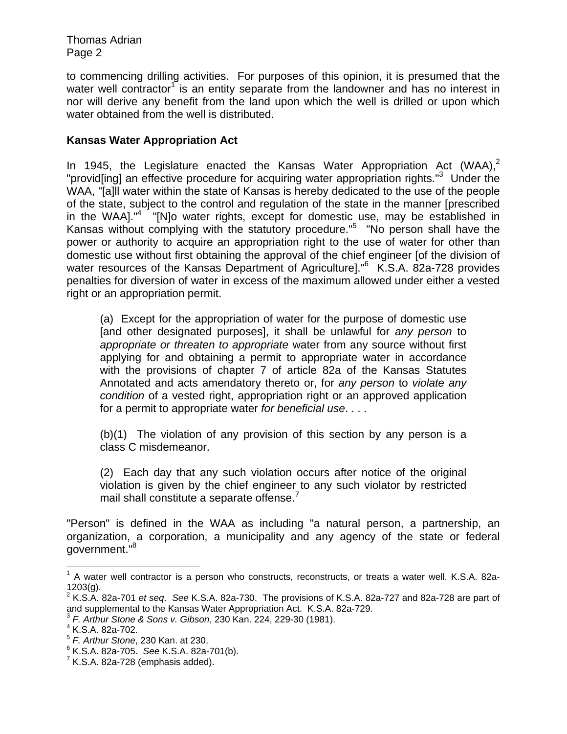to commencing drilling activities. For purposes of this opinion, it is presumed that the water well contractor<sup>1</sup> is an entity separate from the landowner and has no interest in nor will derive any benefit from the land upon which the well is drilled or upon which water obtained from the well is distributed.

## **Kansas Water Appropriation Act**

In 1945, the Legislature enacted the Kansas Water Appropriation Act (WAA),<sup>2</sup> "provid[ing] an effective procedure for acquiring water appropriation rights."<sup>3</sup> Under the WAA, "[a]ll water within the state of Kansas is hereby dedicated to the use of the people of the state, subject to the control and regulation of the state in the manner [prescribed in the WAA]."<sup>4</sup> [N]o water rights, except for domestic use, may be established in Kansas without complying with the statutory procedure."<sup>5</sup> "No person shall have the power or authority to acquire an appropriation right to the use of water for other than domestic use without first obtaining the approval of the chief engineer [of the division of water resources of the Kansas Department of Agriculture]."<sup>6</sup> K.S.A. 82a-728 provides penalties for diversion of water in excess of the maximum allowed under either a vested right or an appropriation permit.

(a) Except for the appropriation of water for the purpose of domestic use [and other designated purposes], it shall be unlawful for *any person* to *appropriate or threaten to appropriate* water from any source without first applying for and obtaining a permit to appropriate water in accordance with the provisions of chapter 7 of article 82a of the Kansas Statutes Annotated and acts amendatory thereto or, for *any person* to *violate any condition* of a vested right, appropriation right or an approved application for a permit to appropriate water *for beneficial use*. . . .

(b)(1) The violation of any provision of this section by any person is a class C misdemeanor.

(2) Each day that any such violation occurs after notice of the original violation is given by the chief engineer to any such violator by restricted mail shall constitute a separate offense. $<sup>7</sup>$ </sup>

"Person" is defined in the WAA as including "a natural person, a partnership, an organization, a corporation, a municipality and any agency of the state or federal government."8

l

 $1$  A water well contractor is a person who constructs, reconstructs, or treats a water well. K.S.A. 82a-1203(g).

<sup>2</sup> K.S.A. 82a-701 *et seq*. *See* K.S.A. 82a-730. The provisions of K.S.A. 82a-727 and 82a-728 are part of and supplemental to the Kansas Water Appropriation Act. K.S.A. 82a-729.<br><sup>3</sup> *F. Arthur Stone & Sons v. Gibson*, 230 Kan. 224, 229-30 (1981).

 $4$  K.S.A. 82a-702.

<sup>5</sup> *F. Arthur Stone*, 230 Kan. at 230.

<sup>&</sup>lt;sup>6</sup> K.S.A. 82a-705. *See* K.S.A. 82a-701(b).<br>7 K.S.A. 82a 738 (amphasis addad).

 $7$  K.S.A. 82a-728 (emphasis added).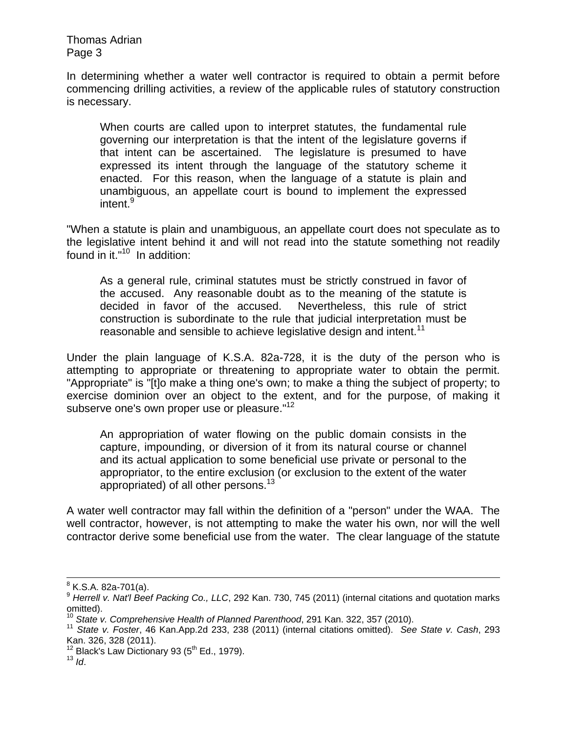In determining whether a water well contractor is required to obtain a permit before commencing drilling activities, a review of the applicable rules of statutory construction is necessary.

When courts are called upon to interpret statutes, the fundamental rule governing our interpretation is that the intent of the legislature governs if that intent can be ascertained. The legislature is presumed to have expressed its intent through the language of the statutory scheme it enacted. For this reason, when the language of a statute is plain and unambiguous, an appellate court is bound to implement the expressed intent.<sup>9</sup>

"When a statute is plain and unambiguous, an appellate court does not speculate as to the legislative intent behind it and will not read into the statute something not readily found in it."<sup>10</sup> In addition:

As a general rule, criminal statutes must be strictly construed in favor of the accused. Any reasonable doubt as to the meaning of the statute is decided in favor of the accused. Nevertheless, this rule of strict construction is subordinate to the rule that judicial interpretation must be reasonable and sensible to achieve legislative design and intent.<sup>11</sup>

Under the plain language of K.S.A. 82a-728, it is the duty of the person who is attempting to appropriate or threatening to appropriate water to obtain the permit. "Appropriate" is "[t]o make a thing one's own; to make a thing the subject of property; to exercise dominion over an object to the extent, and for the purpose, of making it subserve one's own proper use or pleasure."<sup>12</sup>

An appropriation of water flowing on the public domain consists in the capture, impounding, or diversion of it from its natural course or channel and its actual application to some beneficial use private or personal to the appropriator, to the entire exclusion (or exclusion to the extent of the water appropriated) of all other persons.<sup>13</sup>

A water well contractor may fall within the definition of a "person" under the WAA. The well contractor, however, is not attempting to make the water his own, nor will the well contractor derive some beneficial use from the water. The clear language of the statute

8 K.S.A. 82a-701(a).

<sup>&</sup>lt;sup>9</sup> Herrell v. Nat'l Beef Packing Co., LLC, 292 Kan. 730, 745 (2011) (internal citations and quotation marks omitted).<br><sup>10</sup> State v. Comprehensive Health of Planned Parenthood, 291 Kan. 322, 357 (2010).

<sup>10</sup> *State v. Comprehensive Health of Planned Parenthood*, 291 Kan. 322, 357 (2010). 11 *State v. Foster*, 46 Kan.App.2d 233, 238 (2011) (internal citations omitted). *See State v. Cash*, 293 Kan. 326, 328 (2011).

<sup>12</sup> Black's Law Dictionary 93 (5<sup>th</sup> Ed., 1979).<br><sup>13</sup> *Id.*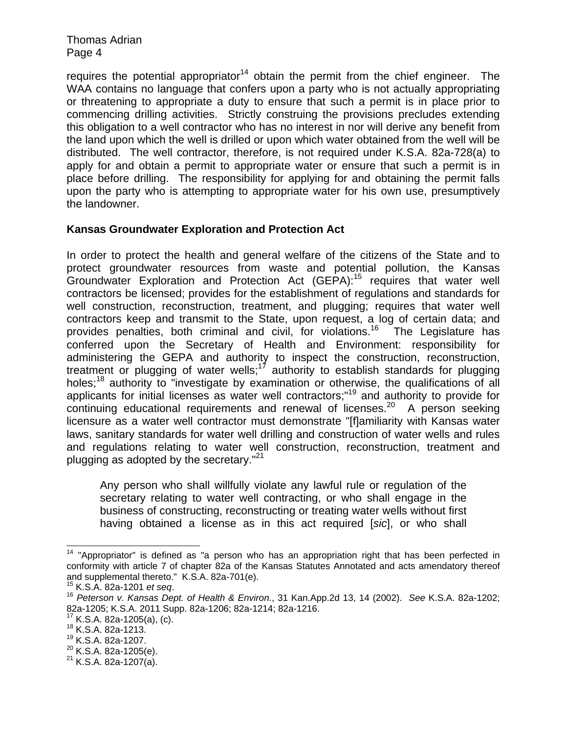requires the potential appropriator<sup>14</sup> obtain the permit from the chief engineer. The WAA contains no language that confers upon a party who is not actually appropriating or threatening to appropriate a duty to ensure that such a permit is in place prior to commencing drilling activities. Strictly construing the provisions precludes extending this obligation to a well contractor who has no interest in nor will derive any benefit from the land upon which the well is drilled or upon which water obtained from the well will be distributed. The well contractor, therefore, is not required under K.S.A. 82a-728(a) to apply for and obtain a permit to appropriate water or ensure that such a permit is in place before drilling. The responsibility for applying for and obtaining the permit falls upon the party who is attempting to appropriate water for his own use, presumptively the landowner.

## **Kansas Groundwater Exploration and Protection Act**

In order to protect the health and general welfare of the citizens of the State and to protect groundwater resources from waste and potential pollution, the Kansas Groundwater Exploration and Protection Act (GEPA):15 requires that water well contractors be licensed; provides for the establishment of regulations and standards for well construction, reconstruction, treatment, and plugging; requires that water well contractors keep and transmit to the State, upon request, a log of certain data; and provides penalties, both criminal and civil, for violations.<sup>16</sup> The Legislature has conferred upon the Secretary of Health and Environment: responsibility for administering the GEPA and authority to inspect the construction, reconstruction, treatment or plugging of water wells; $17$  authority to establish standards for plugging holes;<sup>18</sup> authority to "investigate by examination or otherwise, the qualifications of all applicants for initial licenses as water well contractors;"19 and authority to provide for continuing educational requirements and renewal of licenses.<sup>20</sup> A person seeking licensure as a water well contractor must demonstrate "[f]amiliarity with Kansas water laws, sanitary standards for water well drilling and construction of water wells and rules and regulations relating to water well construction, reconstruction, treatment and plugging as adopted by the secretary."<sup>21</sup>

Any person who shall willfully violate any lawful rule or regulation of the secretary relating to water well contracting, or who shall engage in the business of constructing, reconstructing or treating water wells without first having obtained a license as in this act required [*sic*], or who shall

 $\overline{a}$ 

 $14$  "Appropriator" is defined as "a person who has an appropriation right that has been perfected in conformity with article 7 of chapter 82a of the Kansas Statutes Annotated and acts amendatory thereof and supplemental thereto." K.S.A. 82a-701(e).<br><sup>15</sup> K.S.A. 82a-1201 *et seq.* 

<sup>15</sup> K.S.A. 82a-1201 *et seq*. 16 *Peterson v. Kansas Dept. of Health & Environ.*, 31 Kan.App.2d 13, 14 (2002). *See* K.S.A. 82a-1202; 82a-1205; K.S.A. 2011 Supp. 82a-1206; 82a-1214; 82a-1216.

<sup>&</sup>lt;sup>17</sup> K.S.A. 82a-1205(a), (c).<br><sup>18</sup> K.S.A. 82a-1213.

<sup>&</sup>lt;sup>19</sup> K.S.A. 82a-1207.<br><sup>20</sup> K.S.A. 82a-1205(e).

 $21$  K.S.A. 82a-1207(a).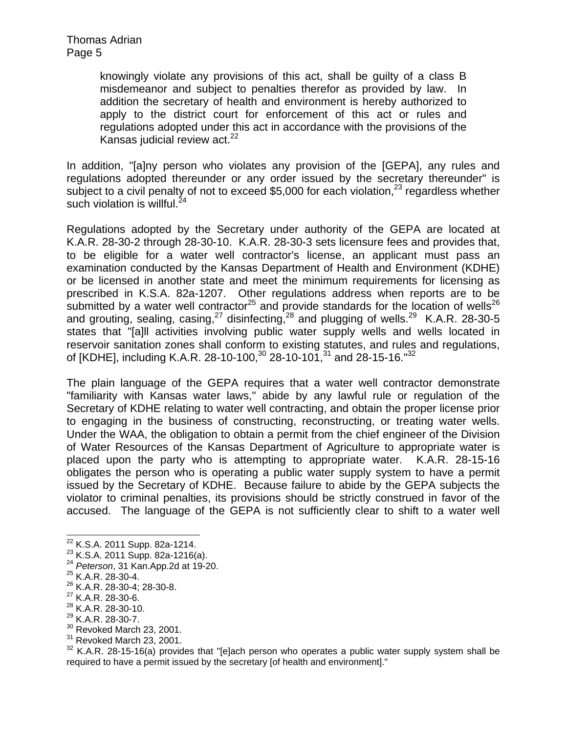knowingly violate any provisions of this act, shall be guilty of a class B misdemeanor and subject to penalties therefor as provided by law. In addition the secretary of health and environment is hereby authorized to apply to the district court for enforcement of this act or rules and regulations adopted under this act in accordance with the provisions of the Kansas judicial review act. $22$ 

In addition, "[a]ny person who violates any provision of the [GEPA], any rules and regulations adopted thereunder or any order issued by the secretary thereunder" is subject to a civil penalty of not to exceed \$5,000 for each violation, $^{23}$  regardless whether such violation is willful. $^{24}$ 

Regulations adopted by the Secretary under authority of the GEPA are located at K.A.R. 28-30-2 through 28-30-10. K.A.R. 28-30-3 sets licensure fees and provides that, to be eligible for a water well contractor's license, an applicant must pass an examination conducted by the Kansas Department of Health and Environment (KDHE) or be licensed in another state and meet the minimum requirements for licensing as prescribed in K.S.A. 82a-1207. Other regulations address when reports are to be submitted by a water well contractor<sup>25</sup> and provide standards for the location of wells<sup>26</sup> and grouting, sealing,  $casing$ ,  $^{27}$  disinfecting,  $^{28}$  and plugging of wells.  $^{29}$  K.A.R. 28-30-5 states that "[a]ll activities involving public water supply wells and wells located in reservoir sanitation zones shall conform to existing statutes, and rules and regulations, of [KDHE], including K.A.R. 28-10-100,<sup>30</sup> 28-10-101,<sup>31</sup> and 28-15-16.<sup>"32</sup>

The plain language of the GEPA requires that a water well contractor demonstrate "familiarity with Kansas water laws," abide by any lawful rule or regulation of the Secretary of KDHE relating to water well contracting, and obtain the proper license prior to engaging in the business of constructing, reconstructing, or treating water wells. Under the WAA, the obligation to obtain a permit from the chief engineer of the Division of Water Resources of the Kansas Department of Agriculture to appropriate water is placed upon the party who is attempting to appropriate water. K.A.R. 28-15-16 obligates the person who is operating a public water supply system to have a permit issued by the Secretary of KDHE. Because failure to abide by the GEPA subjects the violator to criminal penalties, its provisions should be strictly construed in favor of the accused. The language of the GEPA is not sufficiently clear to shift to a water well

26 K.A.R. 28-30-4; 28-30-8.

- $^{28}$  K.A.R. 28-30-10.
- 29 K.A.R. 28-30-7.
- <sup>30</sup> Revoked March 23, 2001.
- $31$  Revoked March 23, 2001.

 $32$  K.A.R. 28-15-16(a) provides that "[e]ach person who operates a public water supply system shall be required to have a permit issued by the secretary [of health and environment]."

 $\overline{\phantom{a}}$ 

<sup>&</sup>lt;sup>22</sup> K.S.A. 2011 Supp. 82a-1214.<br><sup>23</sup> K.S.A. 2011 Supp. 82a-1216(a).<br><sup>24</sup> *Peterson*, 31 Kan.App.2d at 19-20.<br><sup>25</sup> K.A.R. 28-30-4.

<sup>27</sup> K.A.R. 28-30-6.